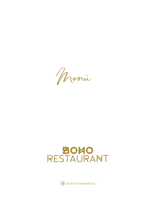Menú

## BOHO<br>RESTAURANT

 $\boxed{\text{O}}$  BOHOCLUBMARBELLA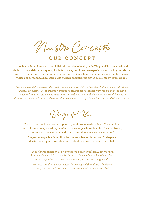Nuestro Concepto

**OUR CONCEPT**

**La cocina de Boho Restaurant está dirigida por el chef malagueño Diego del Río, un apasionado de la cocina andaluza, a la que aplica la técnica aprendida en su experiencia en los fogones de los grandes restaurantes parisinos y combina con los ingredientes y sabores que descubre en sus viajes por el mundo. En nuestra carta variada encontraréis platos suculentos y equilibrados.** 

*The kitchen at Boho Restaurant is run by Diego del Rio, a Malaga-based chef who is passionate about Andalusian cuisine. Diego creates menus using techniques he learned from his experiences in the kitchens of great Parisian restaurants. He also combines them with the ingredients and flavours he discovers on his travels around the world. Our menu has a variety of succulent and well-balanced dishes.*

Diego del Río

**"Elaboro una cocina honesta y apuesto por el producto de calidad. Cada mañana recibo los mejores pescados y mariscos de las lonjas de Andalucía. Nuestras frutas, verduras y carnes provienen de mis proveedores locales de confianza".** 

**Diego crea experiencias culinarias que trascienden la cultura. El elegante diseño de sus platos retrata el sutil talento de nuestro reconocido chef.**

*"My cooking is honest and I always use top-quality products. Every morning, I receive the best fish and seafood from the fish markets of Andalusia. Our fruits, vegetables and meat come from my trusted local suppliers".* 

*Diego creates culinary experiences that go beyond the culture. The elegant design of each dish portrays the subtle talent of our renowned chef.*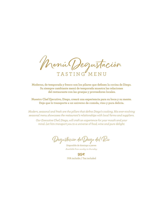Menú Degustación TASTING" MENU

**Moderno, de temporada y fresco son los pilares que definen la cocina de Diego. Su siempre cambiante menú de temporada muestra las relaciones del restaurante con las granjas y proveedores locales.**

**Nuestro Chef Ejecutivo, Diego, creará una experiencia para su boca y su mente. Deje que lo transporte a un universo de comida, vino y pura delicia.**

*Modern, seasonal and fresh are the pillars that define Diego's cooking. His ever-evolving seasonal menu showcases the restaurant's relationships with local farms and suppliers.*

*Our Executive Chef, Diego, will craft an experience for your mouth and your mind. Let him transport you to a universe of food, wine and pure delight.*

Degustación de Diego del Río

Disponible de domingo a jueves *Available from sunday to thursday*

IVA incluido / Tax included **95€**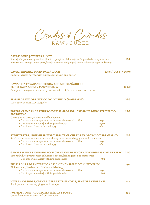Crudos & Curados RAW&CURED

## **OSTRAS 3 UDS | OYSTERS 3 UNITS**

Ponzu | Mango, lemon grass, lima | Pepino y jengibre | Salmorejo verde, picada de apio y manzana **19€** Ponzu sauce | Mango, lemon grass, lime | Cucumber and ginger | Green salmorejo, apple and celery **CAVIAR IMPERIAL 30GR/ 50GR/ 100GR 115€ / 205€ / 400€** Imperial Caviar served with blinis, sour cream and butter **CAVIAR** E**XTRAVAGANCE BELUGA 30G ACOMPAÑADO DE BLINIS, NATA AGRIA Y MANTEQUILLA 225€** Beluga extravagance caviar 30 gr served with blinis, sour cream and butter **JAMÓN DE BELLOTA IBÉRICO D.O GUIJUELO (80 GRAMOS) 32€** 100% Iberian ham D.O. Guijuelo **TARTAR CREMOSO DE ATÚN ROJO DE ALMADRABA, CREMA DE AGUACATE Y TRIGO 29€ SARRACENO**  Creamy tuna tartar, avocado and buckwheat • Con trufa de temporada | with natural seasonal truffle **+15€** • Con imperial caviar| with imperial caviar **+50€** • Con huevo frito| with fried egg **+6€ STEAK TARTAR, MAHONESA ESPECIADA, YEMA CURADA EN OLOROSO Y PARMESANO 26€**  Steak tartar, seasoned mayonnaise, sherry wine curated egg yolk and parmesan • Con trufa de temporada | with natural seasonal truffle **+15€** • Con huevo frito| with fried egg **+6€ GAMBAS BLANCAS AHUMADAS CON CREMA FRÍA DE HINOJO, LEMON GRASS Y GEL DE BERRO 24€** Smoked white prawns with cold fennel cream, lemongrass and watercress • Con imperial caviar| with imperial caviar **+50€ ENSALADILLA DE ENCURTIDOS, SALCHICHÓN IBÉRICO Y HUEVO FRITO 19€** Pickles salad, Iberian salchichón and fried egg • Con trufa de temporada | with natural seasonal truffle **+15€** • Con imperial caviar| with imperial caviar **+50€ VIEIRAS SOASADAS, CREMA LIGERA DE ZANAHORIA, JENGIBRE Y NARANJA 22€** 

Scallops, carrot cream , ginger and orange

**PUERROS CONFITADOS, PRESA IBÉRICA Y PONZU 19€** Confit leek, iberian pork and ponzu sauce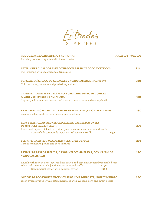Entradas STARTERS

| <b>CROQUETAS DE CARABINERO Y SU TARTAR</b><br>Red king prawns croquettes with its own tartar                                                                                                                                                     | HALF: 10€ FULL:19€ |
|--------------------------------------------------------------------------------------------------------------------------------------------------------------------------------------------------------------------------------------------------|--------------------|
| MEJILLONES GUISADOS ESTILO THAI CON SALSA DE COCO Y CÍTRICOS<br>Stew mussels with coconut and citrus sauce                                                                                                                                       | 22E                |
| SOPA DE MAÍZ, MOJO DE AGUACATE Y VERDURAS ENCURTIDAS (V)<br>Cold corn soup, avocado and pickled vegetables                                                                                                                                       | 18€                |
| CAPRESE, TOMATES DEL TERRENO, BURRATINA, PESTO DE TOMATE<br><b>ASADO Y CREMOSO DE ALBAHACA</b><br>Caprese, field tomatoes, burrata and roasted tomato pesto and creamy basil                                                                     | 18€                |
| ENSALADA DE CALABACÍN, CEVICHE DE MANZANA, APIO Y AVELLANAS<br>Zucchini salad, apple ceviche, celery and hazelnuts                                                                                                                               | 18€                |
| ROAST BEEF, ALCAPARRONES, CEBOLLA ENCURTIDA, MAYONESA<br>DE MOSTAZA VERDE Y TRUFA<br>Roast beef, capers, pickled red onion, green mustard mayonnaise and truffle<br>• Con trufa de temporada   with natural seasonal truffle<br>$+15\varepsilon$ | $22 \epsilon$      |
| PULPO FRITO EN TEMPURA, PIPIÁN Y TEXTURAS DE MAÍZ<br>Octopus tempura, pipian and corn textures                                                                                                                                                   | 28€                |
| RAVIOLI DE PAPADA IBÉRICA, CARABINERO Y MANZANA, CON CALDO DE<br><b>VERDURAS ASADAS</b>                                                                                                                                                          | 22€                |
| Ravioli with iberian pork jowl, red king prawn and apple in a roasted vegetable broth<br>• Con trufa de temporada   with natural seasonal truffle<br>+15€<br>• Con imperial caviar  with imperial caviar<br>+50€                                 |                    |
| GYOZAS DE BOGAVANTE ENCEVICHADAS CON AGUACATE, MAÍZ Y BONIATO                                                                                                                                                                                    | 28€                |

Fresh gyozas stuffed with lobster, marinated with avocado, corn and sweet potato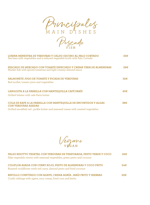Principales MAIN D'ISHES

Pescado **FISH**

| LUBINA MENESTRA DE VERDURAS Y CALDO OSCURO AL PALO CORTADO<br>Sea bass with vegetables and a reduced vegetable broth with Palo Cortado                                           |      |  |
|----------------------------------------------------------------------------------------------------------------------------------------------------------------------------------|------|--|
| PESCADO DE MERCADO CON TOMATE ESPECIADO Y CREMA TIBIA DE ALMENDRAS<br>Market fish with spiced tomatoes and light creamy almond sauce                                             | 29€  |  |
| <b>SALMONETE JUGO DE TOMATE Y PICADA DE VERDURAS</b><br>Red mullet, tomato juice and vegetables                                                                                  | 32€  |  |
| LANGOSTA A LA PARRILLA CON MANTEQUILLA CAFÉ PARÍS<br>Grilled lobster with cafe Paris butter                                                                                      | 65E  |  |
| COLA DE RAPE A LA PARRILLA CON MANTEQUILLA DE ENCURTIDOS Y ALGAS<br><b>CON VERDURAS ASADAS</b><br>Grilled monkfish tail, pickle butter and seaweed cream with roasted vegetables | 38€. |  |

Vegano **VEGAN**

| FALSO RISOTTO VEGETAL CON VERDURAS DE TEMPORADA, PESTO VERDE Y COCO<br>Fake vegetable risotto with seasonal vegetables, green pesto and coconut | 26€            |
|-------------------------------------------------------------------------------------------------------------------------------------------------|----------------|
| COLIFLOR ASADA CON CURRY ROJO, PESTO DE ALMENDRAS Y COCO FRITO<br>Roasted couliflower witth red curry, almond pesto and fried coconut           | $2.4 \epsilon$ |
| REPOLLO CONFITADO CON AGAVE, CREMA AGRÍA, MAÍZ FRITO Y HIERBAS<br>Confit cabbage with agave, sour cream, fried corn and herbs                   | 22E            |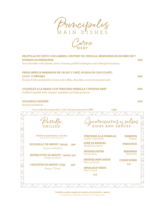Principales MAIN D'ISHES

Carne **MEAT**

| PALETILLA DE CHIVO CON LABNEH, CHUTNEY DE CEBOLLA, BERENJENA EN ESCABECHE Y<br><b>HUMMUS DE BERENJENA</b><br>40€                                                             |     |                                                     |                                     |  |
|------------------------------------------------------------------------------------------------------------------------------------------------------------------------------|-----|-----------------------------------------------------|-------------------------------------|--|
| Goat shoulder with labneh, onion chutney, pickled aubergine and aubergine hummus                                                                                             |     |                                                     |                                     |  |
| PRESA IBÉRICA MARINADA EN CACAO Y CAFÉ, PICADA DE CHOCOLATE,<br><b>COCO Y PIÑONES</b><br>24E<br>Iberian Pork marinated in Cacao and coffee, chocolate, coconut and pine nuts |     |                                                     |                                     |  |
|                                                                                                                                                                              |     |                                                     |                                     |  |
| COQUELET A LA BRASA CON VERDURAS PARRILLA Y PATATAS BABY<br>Grilled Coquelet with summer vegtables and baby potatoes                                                         |     |                                                     | 39€                                 |  |
| <b>SOLOMILLO ROSSINI</b><br>Rossini tenderloin                                                                                                                               |     |                                                     | 40€                                 |  |
| • Con trufa de temporada   with natural seasonal truffle                                                                                                                     |     | +15€                                                |                                     |  |
|                                                                                                                                                                              |     |                                                     |                                     |  |
|                                                                                                                                                                              |     | Juarnicionez y salsas                               |                                     |  |
|                                                                                                                                                                              |     |                                                     |                                     |  |
| Incluída una guarinición y una salsa<br>Including one side and sauce                                                                                                         |     | <b>VERDURAS A LA PARRILLA</b><br>Grilled vegetables | <b>PIMIENTA</b><br>Pepper           |  |
| <b>SOLOMILLO DE ANGUS* (250g)</b><br>Angus tenderloin                                                                                                                        | 39€ | PURÉ DE PATATAS<br>Mashed potatoes                  | <b>PERIGUEUX</b>                    |  |
| ENTRECOTTE DE ANGUS* (450g) 45€                                                                                                                                              |     | <b>PATATAS FRITAS</b><br>French fries               | <b>BEARNESA</b><br><b>Bearnaise</b> |  |
| Angus entrecot                                                                                                                                                               |     | <b>PATATAS MINI ASADA</b><br>Baby potatoes          | <b>CHIMICHURRI</b>                  |  |
| <b>CHULETÓN DE ANGUS* (1kg)</b><br>Angus T-Bone                                                                                                                              | 95€ | <b>ENSALADA VERDE</b>                               | $6 \in$                             |  |
|                                                                                                                                                                              |     | Green salad                                         |                                     |  |
|                                                                                                                                                                              |     | $6 \in$                                             |                                     |  |
|                                                                                                                                                                              |     |                                                     |                                     |  |
|                                                                                                                                                                              |     |                                                     |                                     |  |

**Consulte a nuestro equipo por nuestra carta de postre y quesos** Consult with our team for our dessert and cheese menu